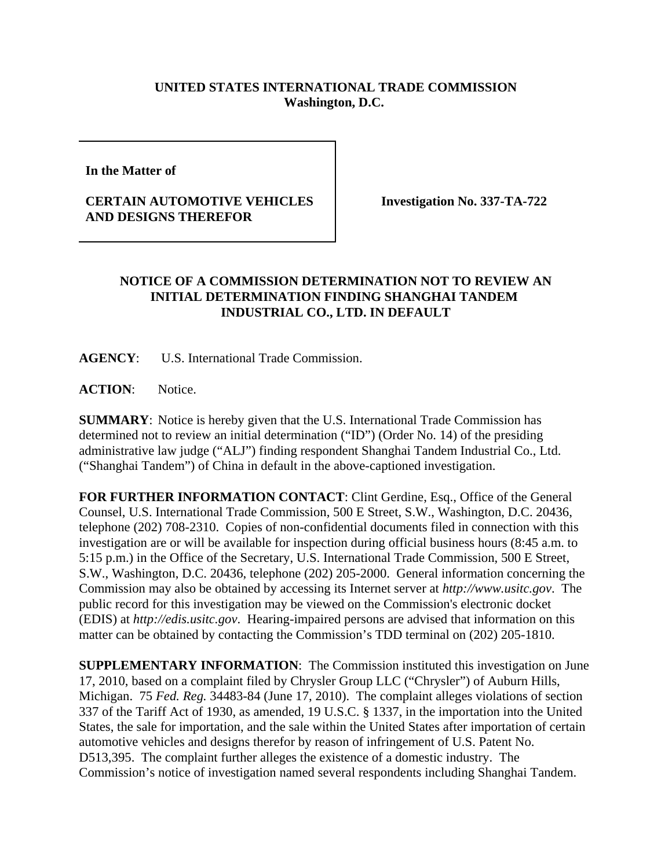## **UNITED STATES INTERNATIONAL TRADE COMMISSION Washington, D.C.**

**In the Matter of** 

## **CERTAIN AUTOMOTIVE VEHICLES AND DESIGNS THEREFOR**

**Investigation No. 337-TA-722**

## **NOTICE OF A COMMISSION DETERMINATION NOT TO REVIEW AN INITIAL DETERMINATION FINDING SHANGHAI TANDEM INDUSTRIAL CO., LTD. IN DEFAULT**

**AGENCY**: U.S. International Trade Commission.

ACTION: Notice.

**SUMMARY**: Notice is hereby given that the U.S. International Trade Commission has determined not to review an initial determination ("ID") (Order No. 14) of the presiding administrative law judge ("ALJ") finding respondent Shanghai Tandem Industrial Co., Ltd. ("Shanghai Tandem") of China in default in the above-captioned investigation.

**FOR FURTHER INFORMATION CONTACT**: Clint Gerdine, Esq., Office of the General Counsel, U.S. International Trade Commission, 500 E Street, S.W., Washington, D.C. 20436, telephone (202) 708-2310. Copies of non-confidential documents filed in connection with this investigation are or will be available for inspection during official business hours (8:45 a.m. to 5:15 p.m.) in the Office of the Secretary, U.S. International Trade Commission, 500 E Street, S.W., Washington, D.C. 20436, telephone (202) 205-2000. General information concerning the Commission may also be obtained by accessing its Internet server at *http://www.usitc.gov*. The public record for this investigation may be viewed on the Commission's electronic docket (EDIS) at *http://edis.usitc.gov*. Hearing-impaired persons are advised that information on this matter can be obtained by contacting the Commission's TDD terminal on (202) 205-1810.

**SUPPLEMENTARY INFORMATION**: The Commission instituted this investigation on June 17, 2010, based on a complaint filed by Chrysler Group LLC ("Chrysler") of Auburn Hills, Michigan. 75 *Fed. Reg.* 34483-84 (June 17, 2010). The complaint alleges violations of section 337 of the Tariff Act of 1930, as amended, 19 U.S.C. § 1337, in the importation into the United States, the sale for importation, and the sale within the United States after importation of certain automotive vehicles and designs therefor by reason of infringement of U.S. Patent No. D513,395. The complaint further alleges the existence of a domestic industry. The Commission's notice of investigation named several respondents including Shanghai Tandem.